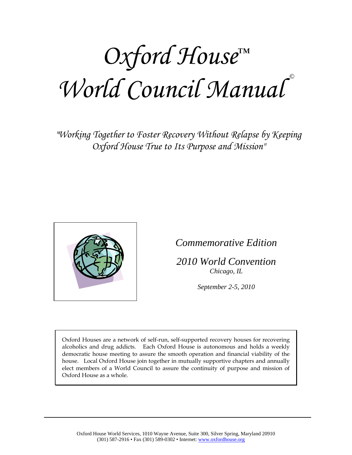# *Oxford House™ World Council Manual* ©

*"Working Together to Foster Recovery Without Relapse by Keeping Oxford House True to Its Purpose and Mission"* 



*Commemorative Edition* 

*2010 World Convention Chicago, IL* 

*September 2-5, 2010*

Oxford Houses are a network of self-run, self-supported recovery houses for recovering alcoholics and drug addicts. Each Oxford House is autonomous and holds a weekly democratic house meeting to assure the smooth operation and financial viability of the house. Local Oxford House join together in mutually supportive chapters and annually elect members of a World Council to assure the continuity of purpose and mission of Oxford House as a whole.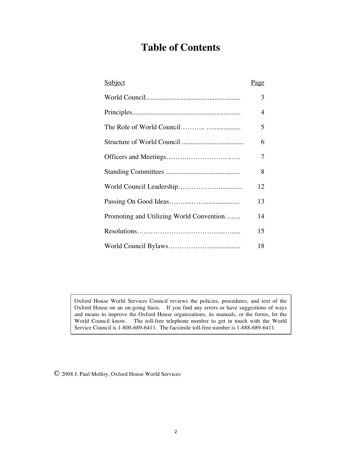## **Table of Contents**

| <b>Subject</b>                           | <u>Page</u> |
|------------------------------------------|-------------|
|                                          | 3           |
|                                          | 4           |
|                                          | 5           |
|                                          | 6           |
|                                          | 7           |
|                                          | 8           |
|                                          | 12          |
|                                          | 13          |
| Promoting and Utilizing World Convention | 14          |
|                                          | 15          |
|                                          | 18          |

Oxford House World Services Council reviews the policies, procedures, and text of the Oxford House on an on-going basis. If you find any errors or have suggestions of ways and means to improve the Oxford House organizations, its manuals, or the forms, let the World Council know. The toll-free telephone number to get in touch with the World Service Council is 1-800-689-6411. The facsimile toll-free number is 1-888-689-6411.

© 2008 J. Paul Molloy, Oxford House World Services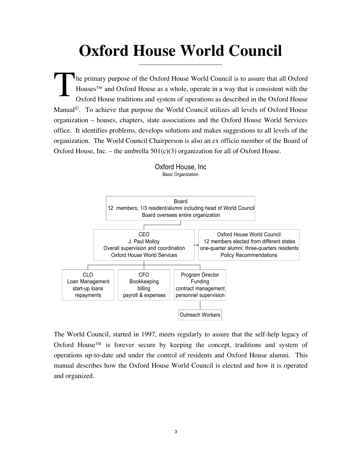## **Oxford House World Council**

he primary purpose of the Oxford House World Council is to assure that all Oxford Houses™ and Oxford House as a whole, operate in a way that is consistent with the Oxford House traditions and system of operations as described in the Oxford House Manual<sup>©</sup>. To achieve that purpose the World Council utilizes all levels of Oxford House organization – houses, chapters, state associations and the Oxford House World Services office. It identifies problems, develops solutions and makes suggestions to all levels of the organization. The World Council Chairperson is also an ex officio member of the Board of Oxford House, Inc. – the umbrella  $501(c)(3)$  organization for all of Oxford House. T



Oxford House, Inc Basic Organization

The World Council, started in 1997, meets regularly to assure that the self-help legacy of Oxford House™ is forever secure by keeping the concept, traditions and system of operations up-to-date and under the control of residents and Oxford House alumni. This manual describes how the Oxford House World Council is elected and how it is operated and organized.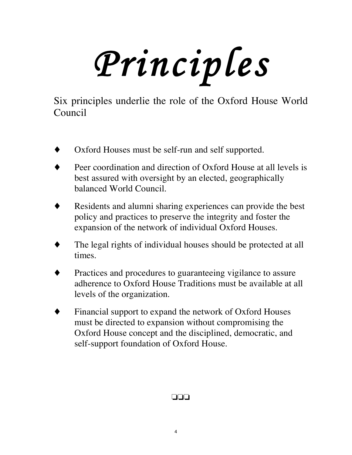*Principles* 

Six principles underlie the role of the Oxford House World Council

- Oxford Houses must be self-run and self supported.
- Peer coordination and direction of Oxford House at all levels is best assured with oversight by an elected, geographically balanced World Council.
- Residents and alumni sharing experiences can provide the best policy and practices to preserve the integrity and foster the expansion of the network of individual Oxford Houses.
- The legal rights of individual houses should be protected at all times.
- Practices and procedures to guaranteeing vigilance to assure adherence to Oxford House Traditions must be available at all levels of the organization.
- Financial support to expand the network of Oxford Houses must be directed to expansion without compromising the Oxford House concept and the disciplined, democratic, and self-support foundation of Oxford House.

### ❏❏❏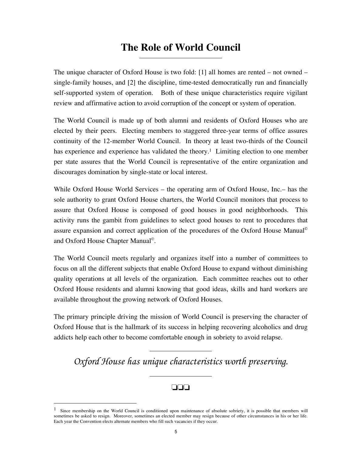## **The Role of World Council**

The unique character of Oxford House is two fold: [1] all homes are rented – not owned – single-family houses, and [2] the discipline, time-tested democratically run and financially self-supported system of operation. Both of these unique characteristics require vigilant review and affirmative action to avoid corruption of the concept or system of operation.

The World Council is made up of both alumni and residents of Oxford Houses who are elected by their peers. Electing members to staggered three-year terms of office assures continuity of the 12-member World Council. In theory at least two-thirds of the Council has experience and experience has validated the theory.<sup>1</sup> Limiting election to one member per state assures that the World Council is representative of the entire organization and discourages domination by single-state or local interest.

While Oxford House World Services – the operating arm of Oxford House, Inc.– has the sole authority to grant Oxford House charters, the World Council monitors that process to assure that Oxford House is composed of good houses in good neighborhoods. This activity runs the gambit from guidelines to select good houses to rent to procedures that assure expansion and correct application of the procedures of the Oxford House Manual© and Oxford House Chapter Manual©.

The World Council meets regularly and organizes itself into a number of committees to focus on all the different subjects that enable Oxford House to expand without diminishing quality operations at all levels of the organization. Each committee reaches out to other Oxford House residents and alumni knowing that good ideas, skills and hard workers are available throughout the growing network of Oxford Houses.

The primary principle driving the mission of World Council is preserving the character of Oxford House that is the hallmark of its success in helping recovering alcoholics and drug addicts help each other to become comfortable enough in sobriety to avoid relapse.

## *Oxford House has unique characteristics worth preserving.*

#### ❏❏❏

 $<sup>1</sup>$  Since membership on the World Council is conditioned upon maintenance of absolute sobriety, it is possible that members will</sup> sometimes be asked to resign. Moreover, sometimes an elected member may resign because of other circumstances in his or her life. Each year the Convention elects alternate members who fill such vacancies if they occur.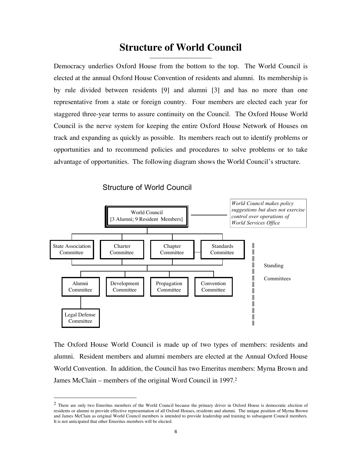## **Structure of World Council**

Democracy underlies Oxford House from the bottom to the top. The World Council is elected at the annual Oxford House Convention of residents and alumni. Its membership is by rule divided between residents [9] and alumni [3] and has no more than one representative from a state or foreign country. Four members are elected each year for staggered three-year terms to assure continuity on the Council. The Oxford House World Council is the nerve system for keeping the entire Oxford House Network of Houses on track and expanding as quickly as possible. Its members reach out to identify problems or opportunities and to recommend policies and procedures to solve problems or to take advantage of opportunities. The following diagram shows the World Council's structure.



The Oxford House World Council is made up of two types of members: residents and alumni. Resident members and alumni members are elected at the Annual Oxford House World Convention. In addition, the Council has two Emeritus members: Myrna Brown and James McClain – members of the original Word Council in 1997.2

<sup>&</sup>lt;sup>2</sup> There are only two Emeritus members of the World Council because the primary driver in Oxford House is democratic election of residents or alumni to provide effective representation of all Oxford Houses, residents and alumni. The unique position of Myrna Brown and James McClain as original World Council members is intended to provide leadership and training to subsequent Council members. It is not anticipated that other Emeritus members will be elected.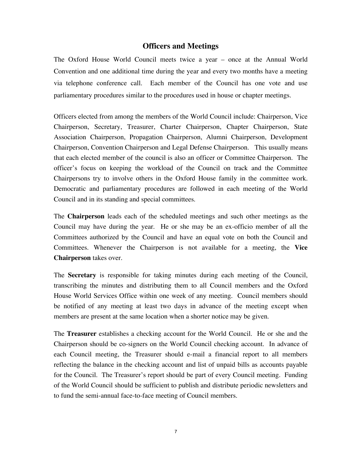#### **Officers and Meetings**

The Oxford House World Council meets twice a year – once at the Annual World Convention and one additional time during the year and every two months have a meeting via telephone conference call. Each member of the Council has one vote and use parliamentary procedures similar to the procedures used in house or chapter meetings.

Officers elected from among the members of the World Council include: Chairperson, Vice Chairperson, Secretary, Treasurer, Charter Chairperson, Chapter Chairperson, State Association Chairperson, Propagation Chairperson, Alumni Chairperson, Development Chairperson, Convention Chairperson and Legal Defense Chairperson. This usually means that each elected member of the council is also an officer or Committee Chairperson. The officer's focus on keeping the workload of the Council on track and the Committee Chairpersons try to involve others in the Oxford House family in the committee work. Democratic and parliamentary procedures are followed in each meeting of the World Council and in its standing and special committees.

The **Chairperson** leads each of the scheduled meetings and such other meetings as the Council may have during the year. He or she may be an ex-officio member of all the Committees authorized by the Council and have an equal vote on both the Council and Committees. Whenever the Chairperson is not available for a meeting, the **Vice Chairperson** takes over.

The **Secretary** is responsible for taking minutes during each meeting of the Council, transcribing the minutes and distributing them to all Council members and the Oxford House World Services Office within one week of any meeting. Council members should be notified of any meeting at least two days in advance of the meeting except when members are present at the same location when a shorter notice may be given.

The **Treasurer** establishes a checking account for the World Council. He or she and the Chairperson should be co-signers on the World Council checking account. In advance of each Council meeting, the Treasurer should e-mail a financial report to all members reflecting the balance in the checking account and list of unpaid bills as accounts payable for the Council. The Treasurer's report should be part of every Council meeting. Funding of the World Council should be sufficient to publish and distribute periodic newsletters and to fund the semi-annual face-to-face meeting of Council members.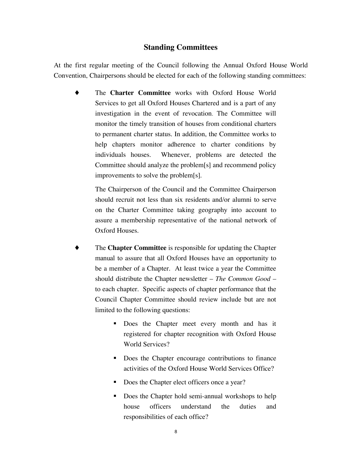#### **Standing Committees**

At the first regular meeting of the Council following the Annual Oxford House World Convention, Chairpersons should be elected for each of the following standing committees:

The **Charter Committee** works with Oxford House World Services to get all Oxford Houses Chartered and is a part of any investigation in the event of revocation. The Committee will monitor the timely transition of houses from conditional charters to permanent charter status. In addition, the Committee works to help chapters monitor adherence to charter conditions by individuals houses. Whenever, problems are detected the Committee should analyze the problem[s] and recommend policy improvements to solve the problem[s].

The Chairperson of the Council and the Committee Chairperson should recruit not less than six residents and/or alumni to serve on the Charter Committee taking geography into account to assure a membership representative of the national network of Oxford Houses.

- The **Chapter Committee** is responsible for updating the Chapter manual to assure that all Oxford Houses have an opportunity to be a member of a Chapter. At least twice a year the Committee should distribute the Chapter newsletter – *The Common Good* – to each chapter. Specific aspects of chapter performance that the Council Chapter Committee should review include but are not limited to the following questions:
	- Does the Chapter meet every month and has it registered for chapter recognition with Oxford House World Services?
	- Does the Chapter encourage contributions to finance activities of the Oxford House World Services Office?
	- Does the Chapter elect officers once a year?
	- Does the Chapter hold semi-annual workshops to help house officers understand the duties and responsibilities of each office?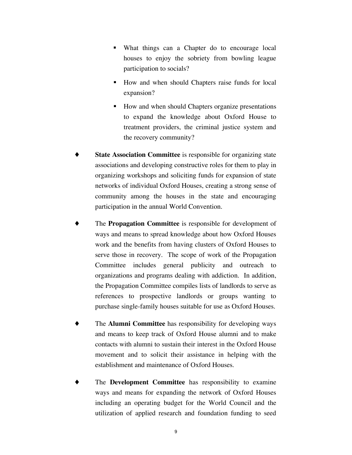- What things can a Chapter do to encourage local houses to enjoy the sobriety from bowling league participation to socials?
- How and when should Chapters raise funds for local expansion?
- How and when should Chapters organize presentations to expand the knowledge about Oxford House to treatment providers, the criminal justice system and the recovery community?
- **State Association Committee** is responsible for organizing state associations and developing constructive roles for them to play in organizing workshops and soliciting funds for expansion of state networks of individual Oxford Houses, creating a strong sense of community among the houses in the state and encouraging participation in the annual World Convention.
- The **Propagation Committee** is responsible for development of ways and means to spread knowledge about how Oxford Houses work and the benefits from having clusters of Oxford Houses to serve those in recovery. The scope of work of the Propagation Committee includes general publicity and outreach to organizations and programs dealing with addiction. In addition, the Propagation Committee compiles lists of landlords to serve as references to prospective landlords or groups wanting to purchase single-family houses suitable for use as Oxford Houses.
- The **Alumni Committee** has responsibility for developing ways and means to keep track of Oxford House alumni and to make contacts with alumni to sustain their interest in the Oxford House movement and to solicit their assistance in helping with the establishment and maintenance of Oxford Houses.
- The **Development Committee** has responsibility to examine ways and means for expanding the network of Oxford Houses including an operating budget for the World Council and the utilization of applied research and foundation funding to seed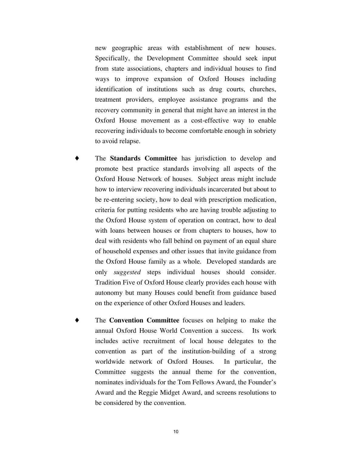new geographic areas with establishment of new houses. Specifically, the Development Committee should seek input from state associations, chapters and individual houses to find ways to improve expansion of Oxford Houses including identification of institutions such as drug courts, churches, treatment providers, employee assistance programs and the recovery community in general that might have an interest in the Oxford House movement as a cost-effective way to enable recovering individuals to become comfortable enough in sobriety to avoid relapse.

- The **Standards Committee** has jurisdiction to develop and promote best practice standards involving all aspects of the Oxford House Network of houses. Subject areas might include how to interview recovering individuals incarcerated but about to be re-entering society, how to deal with prescription medication, criteria for putting residents who are having trouble adjusting to the Oxford House system of operation on contract, how to deal with loans between houses or from chapters to houses, how to deal with residents who fall behind on payment of an equal share of household expenses and other issues that invite guidance from the Oxford House family as a whole. Developed standards are only *suggested* steps individual houses should consider. Tradition Five of Oxford House clearly provides each house with autonomy but many Houses could benefit from guidance based on the experience of other Oxford Houses and leaders.
- The **Convention Committee** focuses on helping to make the annual Oxford House World Convention a success. Its work includes active recruitment of local house delegates to the convention as part of the institution-building of a strong worldwide network of Oxford Houses. In particular, the Committee suggests the annual theme for the convention, nominates individuals for the Tom Fellows Award, the Founder's Award and the Reggie Midget Award, and screens resolutions to be considered by the convention.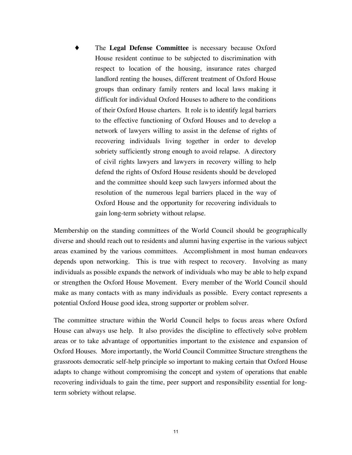The **Legal Defense Committee** is necessary because Oxford House resident continue to be subjected to discrimination with respect to location of the housing, insurance rates charged landlord renting the houses, different treatment of Oxford House groups than ordinary family renters and local laws making it difficult for individual Oxford Houses to adhere to the conditions of their Oxford House charters. It role is to identify legal barriers to the effective functioning of Oxford Houses and to develop a network of lawyers willing to assist in the defense of rights of recovering individuals living together in order to develop sobriety sufficiently strong enough to avoid relapse. A directory of civil rights lawyers and lawyers in recovery willing to help defend the rights of Oxford House residents should be developed and the committee should keep such lawyers informed about the resolution of the numerous legal barriers placed in the way of Oxford House and the opportunity for recovering individuals to gain long-term sobriety without relapse.

Membership on the standing committees of the World Council should be geographically diverse and should reach out to residents and alumni having expertise in the various subject areas examined by the various committees. Accomplishment in most human endeavors depends upon networking. This is true with respect to recovery. Involving as many individuals as possible expands the network of individuals who may be able to help expand or strengthen the Oxford House Movement. Every member of the World Council should make as many contacts with as many individuals as possible. Every contact represents a potential Oxford House good idea, strong supporter or problem solver.

The committee structure within the World Council helps to focus areas where Oxford House can always use help. It also provides the discipline to effectively solve problem areas or to take advantage of opportunities important to the existence and expansion of Oxford Houses. More importantly, the World Council Committee Structure strengthens the grassroots democratic self-help principle so important to making certain that Oxford House adapts to change without compromising the concept and system of operations that enable recovering individuals to gain the time, peer support and responsibility essential for longterm sobriety without relapse.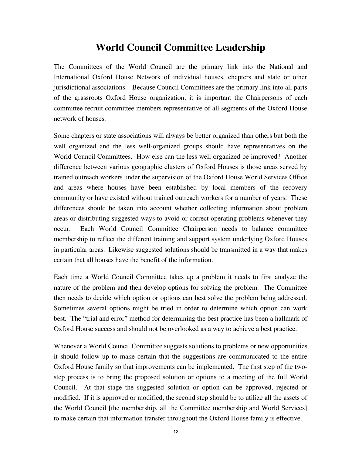## **World Council Committee Leadership**

The Committees of the World Council are the primary link into the National and International Oxford House Network of individual houses, chapters and state or other jurisdictional associations. Because Council Committees are the primary link into all parts of the grassroots Oxford House organization, it is important the Chairpersons of each committee recruit committee members representative of all segments of the Oxford House network of houses.

Some chapters or state associations will always be better organized than others but both the well organized and the less well-organized groups should have representatives on the World Council Committees. How else can the less well organized be improved? Another difference between various geographic clusters of Oxford Houses is those areas served by trained outreach workers under the supervision of the Oxford House World Services Office and areas where houses have been established by local members of the recovery community or have existed without trained outreach workers for a number of years. These differences should be taken into account whether collecting information about problem areas or distributing suggested ways to avoid or correct operating problems whenever they occur. Each World Council Committee Chairperson needs to balance committee membership to reflect the different training and support system underlying Oxford Houses in particular areas. Likewise suggested solutions should be transmitted in a way that makes certain that all houses have the benefit of the information.

Each time a World Council Committee takes up a problem it needs to first analyze the nature of the problem and then develop options for solving the problem. The Committee then needs to decide which option or options can best solve the problem being addressed. Sometimes several options might be tried in order to determine which option can work best. The "trial and error" method for determining the best practice has been a hallmark of Oxford House success and should not be overlooked as a way to achieve a best practice.

Whenever a World Council Committee suggests solutions to problems or new opportunities it should follow up to make certain that the suggestions are communicated to the entire Oxford House family so that improvements can be implemented. The first step of the twostep process is to bring the proposed solution or options to a meeting of the full World Council. At that stage the suggested solution or option can be approved, rejected or modified. If it is approved or modified, the second step should be to utilize all the assets of the World Council [the membership, all the Committee membership and World Services] to make certain that information transfer throughout the Oxford House family is effective.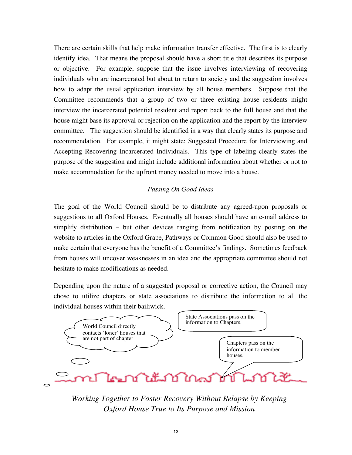There are certain skills that help make information transfer effective. The first is to clearly identify idea. That means the proposal should have a short title that describes its purpose or objective. For example, suppose that the issue involves interviewing of recovering individuals who are incarcerated but about to return to society and the suggestion involves how to adapt the usual application interview by all house members. Suppose that the Committee recommends that a group of two or three existing house residents might interview the incarcerated potential resident and report back to the full house and that the house might base its approval or rejection on the application and the report by the interview committee. The suggestion should be identified in a way that clearly states its purpose and recommendation. For example, it might state: Suggested Procedure for Interviewing and Accepting Recovering Incarcerated Individuals. This type of labeling clearly states the purpose of the suggestion and might include additional information about whether or not to make accommodation for the upfront money needed to move into a house.

#### *Passing On Good Ideas*

The goal of the World Council should be to distribute any agreed-upon proposals or suggestions to all Oxford Houses. Eventually all houses should have an e-mail address to simplify distribution – but other devices ranging from notification by posting on the website to articles in the Oxford Grape, Pathways or Common Good should also be used to make certain that everyone has the benefit of a Committee's findings. Sometimes feedback from houses will uncover weaknesses in an idea and the appropriate committee should not hesitate to make modifications as needed.

Depending upon the nature of a suggested proposal or corrective action, the Council may chose to utilize chapters or state associations to distribute the information to all the individual houses within their bailiwick.



*Working Together to Foster Recovery Without Relapse by Keeping Oxford House True to Its Purpose and Mission*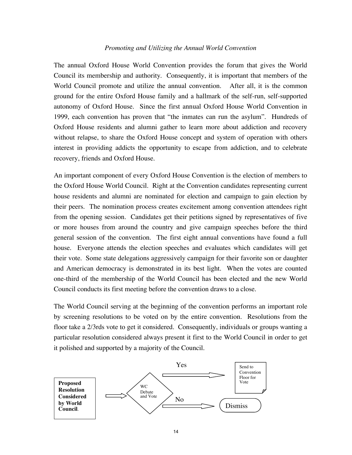#### *Promoting and Utilizing the Annual World Convention*

The annual Oxford House World Convention provides the forum that gives the World Council its membership and authority. Consequently, it is important that members of the World Council promote and utilize the annual convention. After all, it is the common ground for the entire Oxford House family and a hallmark of the self-run, self-supported autonomy of Oxford House. Since the first annual Oxford House World Convention in 1999, each convention has proven that "the inmates can run the asylum". Hundreds of Oxford House residents and alumni gather to learn more about addiction and recovery without relapse, to share the Oxford House concept and system of operation with others interest in providing addicts the opportunity to escape from addiction, and to celebrate recovery, friends and Oxford House.

An important component of every Oxford House Convention is the election of members to the Oxford House World Council. Right at the Convention candidates representing current house residents and alumni are nominated for election and campaign to gain election by their peers. The nomination process creates excitement among convention attendees right from the opening session. Candidates get their petitions signed by representatives of five or more houses from around the country and give campaign speeches before the third general session of the convention. The first eight annual conventions have found a full house. Everyone attends the election speeches and evaluates which candidates will get their vote. Some state delegations aggressively campaign for their favorite son or daughter and American democracy is demonstrated in its best light. When the votes are counted one-third of the membership of the World Council has been elected and the new World Council conducts its first meeting before the convention draws to a close.

The World Council serving at the beginning of the convention performs an important role by screening resolutions to be voted on by the entire convention. Resolutions from the floor take a 2/3rds vote to get it considered. Consequently, individuals or groups wanting a particular resolution considered always present it first to the World Council in order to get it polished and supported by a majority of the Council.

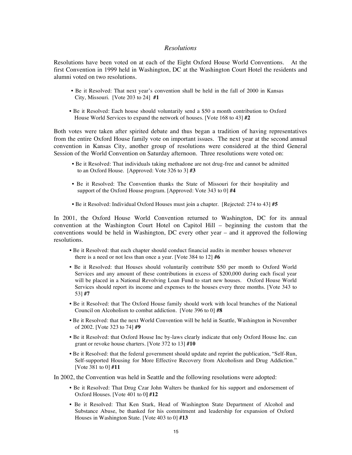#### *Resolutions*

Resolutions have been voted on at each of the Eight Oxford House World Conventions. At the first Convention in 1999 held in Washington, DC at the Washington Court Hotel the residents and alumni voted on two resolutions.

- Be it Resolved: That next year's convention shall be held in the fall of 2000 in Kansas City, Missouri. [Vote 203 to 24] **#1**
- Be it Resolved: Each house should voluntarily send a \$50 a month contribution to Oxford House World Services to expand the network of houses. [Vote 168 to 43] **#2**

Both votes were taken after spirited debate and thus began a tradition of having representatives from the entire Oxford House family vote on important issues. The next year at the second annual convention in Kansas City, another group of resolutions were considered at the third General Session of the World Convention on Saturday afternoon. Three resolutions were voted on:

- Be it Resolved: That individuals taking methadone are not drug-free and cannot be admitted to an Oxford House. [Approved: Vote 326 to 3] **#3**
- Be it Resolved: The Convention thanks the State of Missouri for their hospitality and support of the Oxford House program. [Approved: Vote 343 to 0] **#4**
- Be it Resolved: Individual Oxford Houses must join a chapter. [Rejected: 274 to 43] **#5**

In 2001, the Oxford House World Convention returned to Washington, DC for its annual convention at the Washington Court Hotel on Capitol Hill – beginning the custom that the conventions would be held in Washington, DC every other year – and it approved the following resolutions.

- Be it Resolved: that each chapter should conduct financial audits in member houses whenever there is a need or not less than once a year. [Vote 384 to 12] **#6**
- Be it Resolved: that Houses should voluntarily contribute \$50 per month to Oxford World Services and any amount of these contributions in excess of \$200,000 during each fiscal year will be placed in a National Revolving Loan Fund to start new houses. Oxford House World Services should report its income and expenses to the houses every three months. [Vote 343 to 53] **#7**
- Be it Resolved: that The Oxford House family should work with local branches of the National Council on Alcoholism to combat addiction. [Vote 396 to 0] **#8**
- Be it Resolved: that the next World Convention will be held in Seattle, Washington in November of 2002. [Vote 323 to 74] **#9**
- Be it Resolved: that Oxford House Inc by-laws clearly indicate that only Oxford House Inc. can grant or revoke house charters. [Vote 372 to 13] **#10**
- Be it Resolved: that the federal government should update and reprint the publication, "Self-Run, Self-supported Housing for More Effective Recovery from Alcoholism and Drug Addiction." [Vote 381 to 0] **#11**

In 2002, the Convention was held in Seattle and the following resolutions were adopted:

- Be it Resolved: That Drug Czar John Walters be thanked for his support and endorsement of Oxford Houses. [Vote 401 to 0**] #12**
- Be it Resolved: That Ken Stark, Head of Washington State Department of Alcohol and Substance Abuse, be thanked for his commitment and leadership for expansion of Oxford Houses in Washington State. [Vote 403 to 0] **#13**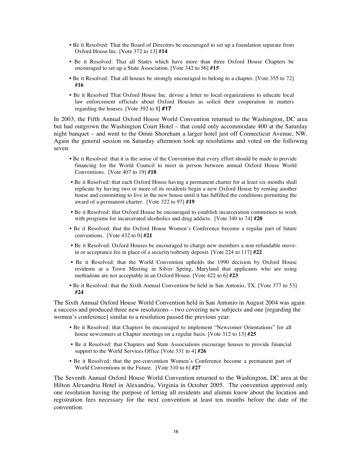- Be it Resolved: That the Board of Directors be encouraged to set up a foundation separate from Oxford House Inc. [Vote 372 to 13] **#14**
- Be it Resolved: That all States which have more than three Oxford House Chapters be encouraged to set up a State Association. [Vote 342 to 56] **#15**
- Be it Resolved: That all houses be strongly encouraged to belong to a chapter. [Vote 355 to 72] **#16**
- Be it Resolved That Oxford House Inc. devise a letter to local organizations to educate local law enforcement officials about Oxford Houses as solicit their cooperation in matters regarding the houses. [Vote 392 to 8] **#17**

In 2003, the Fifth Annual Oxford House World Convention returned to the Washington, DC area but had outgrown the Washington Court Hotel – that could only accommodate 400 at the Saturday night banquet – and went to the Omni Shoreham a larger hotel just off Connecticut Avenue, NW. Again the general session on Saturday afternoon took up resolutions and voted on the following seven.

- Be it Resolved: that it is the sense of the Convention that every effort should be made to provide financing for the World Council to meet in person between annual Oxford House World Conventions. [Vote 407 to 19] **#18**
- Be it Resolved: that each Oxford House having a permanent charter for at least six months shall replicate by having two or more of its residents begin a new Oxford House by renting another house and committing to live in the new house until it has fulfilled the conditions permitting the award of a permanent charter. [Vote 322 to 97] **#19**
- Be it Resolved: that Oxford House be encouraged to establish incarceration committees to work with programs for incarcerated alcoholics and drug addicts. [Vote 340 to 74] **#20**
- Be it Resolved: that the Oxford House Women's Conference become a regular part of future conventions. [Vote 432 to 0] **#21**
- Be it Resolved: Oxford Houses be encouraged to charge new members a non-refundable movein or acceptance fee in place of a security/sobriety deposit. [Vote 224 to 117] **#22**
- Be it Resolved: that the World Convention upholds the 1990 decision by Oxford House residents at a Town Meeting in Silver Spring, Maryland that applicants who are using methadone are not acceptable in an Oxford House. [Vote 422 to 6] **#23**
- Be it Resolved: that the Sixth Annual Convention be held in San Antonio, TX. [Vote 377 to 53] **#24**

The Sixth Annual Oxford House World Convention held in San Antonio in August 2004 was again a success and produced three new resolutions – two covering new subjects and one [regarding the women's conference] similar to a resolution passed the previous year.

- Be it Resolved: that Chapters be encouraged to implement "Newcomer Orientations" for all house newcomers at Chapter meetings on a regular basis. [Vote 312 to 13] **#25**
- Be it Resolved: that Chapters and State Associations encourage houses to provide financial support to the World Services Office [Vote 331 to 4] **#26**
- Be it Resolved: that the pre-convention Women's Conference become a permanent part of World Conventions in the Future. [Vote 310 to 6] **#27**

The Seventh Annual Oxford House World Convention returned to the Washington, DC area at the Hilton Alexandria Hotel in Alexandria, Virginia in October 2005. The convention approved only one resolution having the purpose of letting all residents and alumni know about the location and registration fees necessary for the next convention at least ten months before the date of the convention.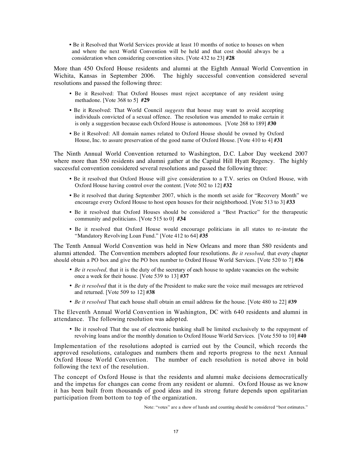• Be it Resolved that World Services provide at least 10 months of notice to houses on when and where the next World Convention will be held and that cost should always be a consideration when considering convention sites. [Vote 432 to 23] **#28**

More than 450 Oxford House residents and alumni at the Eighth Annual World Convention in Wichita, Kansas in September 2006. The highly successful convention considered several resolutions and passed the following three:

- Be it Resolved: That Oxford Houses must reject acceptance of any resident using methadone. [Vote 368 to 5] **#29**
- Be it Resolved: That World Council *suggests* that house may want to avoid accepting individuals convicted of a sexual offence. The resolution was amended to make certain it is only a suggestion because each Oxford House is autonomous. [Vote 268 to 189] **#30**
- Be it Resolved: All domain names related to Oxford House should be owned by Oxford House, Inc. to assure preservation of the good name of Oxford House. [Vote 410 to 4] **#31**

The Ninth Annual World Convention returned to Washington, D.C. Labor Day weekend 2007 where more than 550 residents and alumni gather at the Capital Hill Hyatt Regency. The highly successful convention considered several resolutions and passed the following three:

- Be it resolved that Oxford House will give consideration to a T.V. series on Oxford House, with Oxford House having control over the content. [Vote 502 to 12] **#32**
- Be it resolved that during September 2007, which is the month set aside for "Recovery Month" we encourage every Oxford House to host open houses for their neighborhood. [Vote 513 to 3] **#33**
- Be it resolved that Oxford Houses should be considered a "Best Practice" for the therapeutic community and politicians. [Vote 515 to 0] **#34**
- Be it resolved that Oxford House would encourage politicians in all states to re-instate the "Mandatory Revolving Loan Fund." [Vote 412 to 64] **#35**

The Tenth Annual World Convention was held in New Orleans and more than 580 residents and alumni attended. The Convention members adopted four resolutions. *Be it resolved,* that every chapter should obtain a PO box and give the PO box number to Oxford House World Services. [Vote 520 to 7] **#36**

- *Be it resolved*, that it is the duty of the secretary of each house to update vacancies on the website once a week for their house. [Vote 539 to 13] **#37**
- *Be it resolved* that it is the duty of the President to make sure the voice mail messages are retrieved and returned. [Vote 509 to 12] **#38**
- *Be it resolved* That each house shall obtain an email address for the house. [Vote 480 to 22] **#39**

The Eleventh Annual World Convention in Washington, DC with 640 residents and alumni in attendance. The following resolution was adopted.

• Be it resolved That the use of electronic banking shall be limited exclusively to the repayment of revolving loans and/or the monthly donation to Oxford House World Services. [Vote 550 to 10] **#40**

Implementation of the resolutions adopted is carried out by the Council, which records the approved resolutions, catalogues and numbers them and reports progress to the next Annual Oxford House World Convention. The number of each resolution is noted above in bold following the text of the resolution.

The concept of Oxford House is that the residents and alumni make decisions democratically and the impetus for changes can come from any resident or alumni. Oxford House as we know it has been built from thousands of good ideas and its strong future depends upon egalitarian participation from bottom to top of the organization.

Note: "votes" are a show of hands and counting should be considered "best estimates."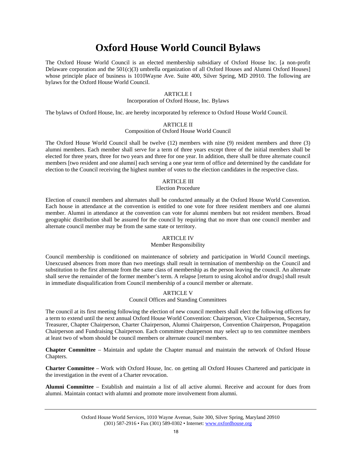## **Oxford House World Council Bylaws**

The Oxford House World Council is an elected membership subsidiary of Oxford House Inc. [a non-profit Delaware corporation and the 501(c)(3) umbrella organization of all Oxford Houses and Alumni Oxford Houses] whose principle place of business is 1010Wayne Ave. Suite 400, Silver Spring, MD 20910. The following are bylaws for the Oxford House World Council.

#### ARTICLE I

Incorporation of Oxford House, Inc. Bylaws

The bylaws of Oxford House, Inc. are hereby incorporated by reference to Oxford House World Council.

#### ARTICLE II

Composition of Oxford House World Council

The Oxford House World Council shall be twelve (12) members with nine (9) resident members and three (3) alumni members. Each member shall serve for a term of three years except three of the initial members shall be elected for three years, three for two years and three for one year. In addition, there shall be three alternate council members [two resident and one alumni] each serving a one year term of office and determined by the candidate for election to the Council receiving the highest number of votes to the election candidates in the respective class.

#### ARTICLE III

#### Election Procedure

Election of council members and alternates shall be conducted annually at the Oxford House World Convention. Each house in attendance at the convention is entitled to one vote for three resident members and one alumni member. Alumni in attendance at the convention can vote for alumni members but not resident members. Broad geographic distribution shall be assured for the council by requiring that no more than one council member and alternate council member may be from the same state or territory.

#### ARTICLE IV

#### Member Responsibility

Council membership is conditioned on maintenance of sobriety and participation in World Council meetings. Unexcused absences from more than two meetings shall result in termination of membership on the Council and substitution to the first alternate from the same class of membership as the person leaving the council. An alternate shall serve the remainder of the former member's term. A relapse [return to using alcohol and/or drugs] shall result in immediate disqualification from Council membership of a council member or alternate.

#### ARTICLE V

#### Council Offices and Standing Committees

The council at its first meeting following the election of new council members shall elect the following officers for a term to extend until the next annual Oxford House World Convention: Chairperson, Vice Chairperson, Secretary, Treasurer, Chapter Chairperson, Charter Chairperson, Alumni Chairperson, Convention Chairperson, Propagation Chairperson and Fundraising Chairperson. Each committee chairperson may select up to ten committee members at least two of whom should be council members or alternate council members.

**Chapter Committee** – Maintain and update the Chapter manual and maintain the network of Oxford House Chapters.

**Charter Committee** – Work with Oxford House, Inc. on getting all Oxford Houses Chartered and participate in the investigation in the event of a Charter revocation.

**Alumni Committee** – Establish and maintain a list of all active alumni. Receive and account for dues from alumni. Maintain contact with alumni and promote more involvement from alumni.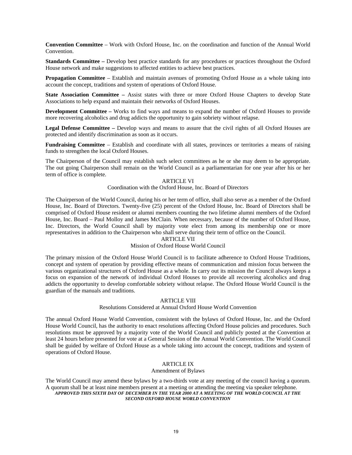**Convention Committee** – Work with Oxford House, Inc. on the coordination and function of the Annual World Convention.

**Standards Committee –** Develop best practice standards for any procedures or practices throughout the Oxford House network and make suggestions to affected entities to achieve best practices.

**Propagation Committee** – Establish and maintain avenues of promoting Oxford House as a whole taking into account the concept, traditions and system of operations of Oxford House.

**State Association Committee –** Assist states with three or more Oxford House Chapters to develop State Associations to help expand and maintain their networks of Oxford Houses.

**Development Committee –** Works to find ways and means to expand the number of Oxford Houses to provide more recovering alcoholics and drug addicts the opportunity to gain sobriety without relapse.

**Legal Defense Committee –** Develop ways and means to assure that the civil rights of all Oxford Houses are protected and identify discrimination as soon as it occurs.

**Fundraising Committee** – Establish and coordinate with all states, provinces or territories a means of raising funds to strengthen the local Oxford Houses.

The Chairperson of the Council may establish such select committees as he or she may deem to be appropriate. The out going Chairperson shall remain on the World Council as a parliamentarian for one year after his or her term of office is complete.

#### ARTICLE VI

Coordination with the Oxford House, Inc. Board of Directors

The Chairperson of the World Council, during his or her term of office, shall also serve as a member of the Oxford House, Inc. Board of Directors. Twenty-five (25) percent of the Oxford House, Inc. Board of Directors shall be comprised of Oxford House resident or alumni members counting the two lifetime alumni members of the Oxford House, Inc. Board – Paul Molloy and James McClain. When necessary, because of the number of Oxford House, Inc. Directors, the World Council shall by majority vote elect from among its membership one or more representatives in addition to the Chairperson who shall serve during their term of office on the Council.

#### ARTICLE VII

#### Mission of Oxford House World Council

The primary mission of the Oxford House World Council is to facilitate adherence to Oxford House Traditions, concept and system of operation by providing effective means of communication and mission focus between the various organizational structures of Oxford House as a whole. In carry out its mission the Council always keeps a focus on expansion of the network of individual Oxford Houses to provide all recovering alcoholics and drug addicts the opportunity to develop comfortable sobriety without relapse. The Oxford House World Council is the guardian of the manuals and traditions.

#### ARTICLE VIII

Resolutions Considered at Annual Oxford House World Convention

The annual Oxford House World Convention, consistent with the bylaws of Oxford House, Inc. and the Oxford House World Council, has the authority to enact resolutions affecting Oxford House policies and procedures. Such resolutions must be approved by a majority vote of the World Council and publicly posted at the Convention at least 24 hours before presented for vote at a General Session of the Annual World Convention. The World Council shall be guided by welfare of Oxford House as a whole taking into account the concept, traditions and system of operations of Oxford House.

#### ARTICLE IX

#### Amendment of Bylaws

The World Council may amend these bylaws by a two-thirds vote at any meeting of the council having a quorum. A quorum shall be at least nine members present at a meeting or attending the meeting via speaker telephone. *APPROVED THIS SIXTH DAY OF DECEMBER IN THE YEAR 2000 AT A MEETING OF THE WORLD COUNCIL AT THE SECOND OXFORD HOUSE WORLD CONVENTION*